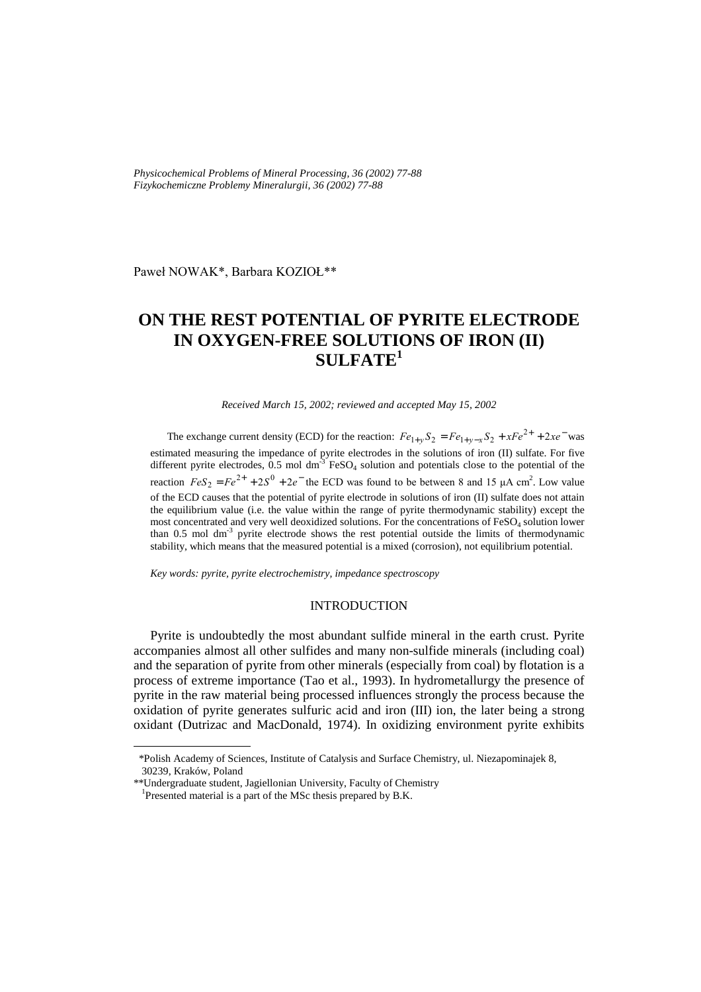*Physicochemical Problems of Mineral Processing, 36 (2002) 77-88 Fizykochemiczne Problemy Mineralurgii, 36 (2002) 77-88* 

Paweł NOWAK\*, Barbara KOZIOŁ\*\*

# **ON THE REST POTENTIAL OF PYRITE ELECTRODE IN OXYGEN-FREE SOLUTIONS OF IRON (II) SULFATE1**

*Received March 15, 2002; reviewed and accepted May 15, 2002* 

The exchange current density (ECD) for the reaction:  $Fe_{1+y}S_2 = Fe_{1+y-x}S_2 + xFe^{2+} + 2xe^{-}$  was estimated measuring the impedance of pyrite electrodes in the solutions of iron (II) sulfate. For five different pyrite electrodes,  $0.5$  mol dm<sup>-3</sup> FeSO<sub>4</sub> solution and potentials close to the potential of the reaction  $FeS_2 = Fe^{2+} + 2S^0 + 2e^-$  the ECD was found to be between 8 and 15 µA cm<sup>2</sup>. Low value of the ECD causes that the potential of pyrite electrode in solutions of iron (II) sulfate does not attain the equilibrium value (i.e. the value within the range of pyrite thermodynamic stability) except the most concentrated and very well deoxidized solutions. For the concentrations of FeSO<sub>4</sub> solution lower than 0.5 mol dm<sup>-3</sup> pyrite electrode shows the rest potential outside the limits of thermodynamic stability, which means that the measured potential is a mixed (corrosion), not equilibrium potential.

*Key words: pyrite, pyrite electrochemistry, impedance spectroscopy* 

## INTRODUCTION

Pyrite is undoubtedly the most abundant sulfide mineral in the earth crust. Pyrite accompanies almost all other sulfides and many non-sulfide minerals (including coal) and the separation of pyrite from other minerals (especially from coal) by flotation is a process of extreme importance (Tao et al., 1993). In hydrometallurgy the presence of pyrite in the raw material being processed influences strongly the process because the oxidation of pyrite generates sulfuric acid and iron (III) ion, the later being a strong oxidant (Dutrizac and MacDonald, 1974). In oxidizing environment pyrite exhibits

 $\overline{a}$ 

 <sup>\*</sup>Polish Academy of Sciences, Institute of Catalysis and Surface Chemistry, ul. Niezapominajek 8, 30239, Kraków, Poland

<sup>\*\*</sup>Undergraduate student, Jagiellonian University, Faculty of Chemistry

<sup>&</sup>lt;sup>1</sup>Presented material is a part of the MSc thesis prepared by B.K.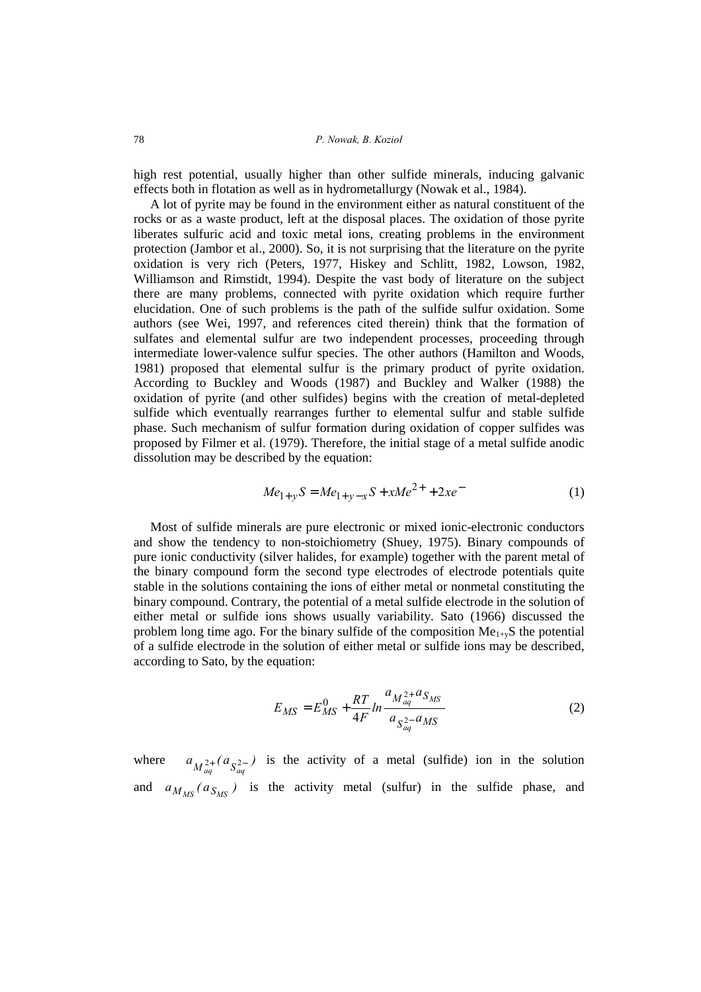high rest potential, usually higher than other sulfide minerals, inducing galvanic effects both in flotation as well as in hydrometallurgy (Nowak et al., 1984).

A lot of pyrite may be found in the environment either as natural constituent of the rocks or as a waste product, left at the disposal places. The oxidation of those pyrite liberates sulfuric acid and toxic metal ions, creating problems in the environment protection (Jambor et al., 2000). So, it is not surprising that the literature on the pyrite oxidation is very rich (Peters, 1977, Hiskey and Schlitt, 1982, Lowson, 1982, Williamson and Rimstidt, 1994). Despite the vast body of literature on the subject there are many problems, connected with pyrite oxidation which require further elucidation. One of such problems is the path of the sulfide sulfur oxidation. Some authors (see Wei, 1997, and references cited therein) think that the formation of sulfates and elemental sulfur are two independent processes, proceeding through intermediate lower-valence sulfur species. The other authors (Hamilton and Woods, 1981) proposed that elemental sulfur is the primary product of pyrite oxidation. According to Buckley and Woods (1987) and Buckley and Walker (1988) the oxidation of pyrite (and other sulfides) begins with the creation of metal-depleted sulfide which eventually rearranges further to elemental sulfur and stable sulfide phase. Such mechanism of sulfur formation during oxidation of copper sulfides was proposed by Filmer et al. (1979). Therefore, the initial stage of a metal sulfide anodic dissolution may be described by the equation:

$$
Me_{1+y}S = Me_{1+y-x}S + xMe^{2+} + 2xe^{-}
$$
 (1)

Most of sulfide minerals are pure electronic or mixed ionic-electronic conductors and show the tendency to non-stoichiometry (Shuey, 1975). Binary compounds of pure ionic conductivity (silver halides, for example) together with the parent metal of the binary compound form the second type electrodes of electrode potentials quite stable in the solutions containing the ions of either metal or nonmetal constituting the binary compound. Contrary, the potential of a metal sulfide electrode in the solution of either metal or sulfide ions shows usually variability. Sato (1966) discussed the problem long time ago. For the binary sulfide of the composition  $Me<sub>1+y</sub>S$  the potential of a sulfide electrode in the solution of either metal or sulfide ions may be described, according to Sato, by the equation:

$$
E_{MS} = E_{MS}^0 + \frac{RT}{4F} \ln \frac{a_{M_{aq}^{2+}} a_{S_{MS}}}{a_{S_{aq}^{2-}} a_{MS}}
$$
 (2)

where  $a_{M_{ag}^{2+}}(a_{S_{ag}^{2-}})$  is the activity of a metal (sulfide) ion in the solution and  $a_{M_{MS}}(a_{S_{MS}})$  is the activity metal (sulfur) in the sulfide phase, and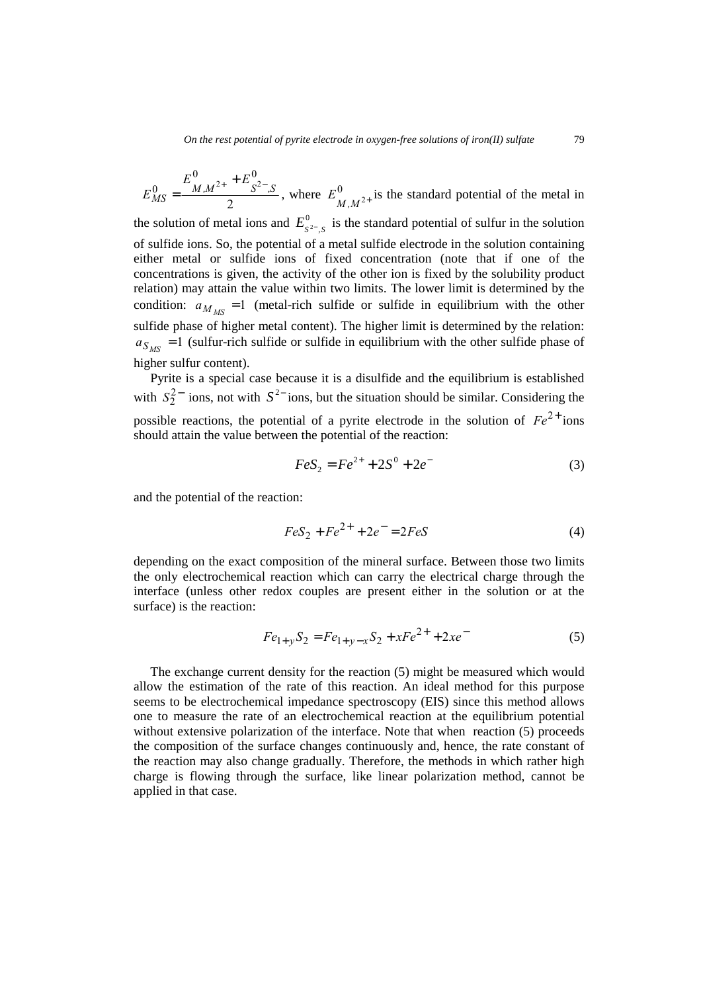2 0  $\Gamma$  0  $\frac{0}{MS} = \frac{2 M M^2 + 16 M^2}{2} S^2 - S$  $E_{MS}^0 = \frac{E_{M,M^{2+}}^0 + E_{S^{2-},S}^0}{2}$ , where  $E_{M,M^{2+}}^0$  is the standard potential of the metal in the solution of metal ions and  $E_{S^2,S}^0$  is the standard potential of sulfur in the solution of sulfide ions. So, the potential of a metal sulfide electrode in the solution containing either metal or sulfide ions of fixed concentration (note that if one of the concentrations is given, the activity of the other ion is fixed by the solubility product relation) may attain the value within two limits. The lower limit is determined by the condition:  $a_{M_{MS}} = 1$  (metal-rich sulfide or sulfide in equilibrium with the other sulfide phase of higher metal content). The higher limit is determined by the relation:  $a_{S_{MS}} = 1$  (sulfur-rich sulfide or sulfide in equilibrium with the other sulfide phase of higher sulfur content).

Pyrite is a special case because it is a disulfide and the equilibrium is established with  $S_2^{2-}$  ions, not with  $S^{2-}$  ions, but the situation should be similar. Considering the possible reactions, the potential of a pyrite electrode in the solution of  $Fe^{2+}$  ions should attain the value between the potential of the reaction:

$$
FeS_2 = Fe^{2+} + 2S^0 + 2e^-
$$
 (3)

and the potential of the reaction:

$$
FeS_2 + Fe^{2+} + 2e^- = 2FeS
$$
 (4)

depending on the exact composition of the mineral surface. Between those two limits the only electrochemical reaction which can carry the electrical charge through the interface (unless other redox couples are present either in the solution or at the surface) is the reaction:

$$
Fe_{1+y}S_2 = Fe_{1+y-x}S_2 + xFe^{2+} + 2xe^{-}
$$
 (5)

The exchange current density for the reaction (5) might be measured which would allow the estimation of the rate of this reaction. An ideal method for this purpose seems to be electrochemical impedance spectroscopy (EIS) since this method allows one to measure the rate of an electrochemical reaction at the equilibrium potential without extensive polarization of the interface. Note that when reaction (5) proceeds the composition of the surface changes continuously and, hence, the rate constant of the reaction may also change gradually. Therefore, the methods in which rather high charge is flowing through the surface, like linear polarization method, cannot be applied in that case.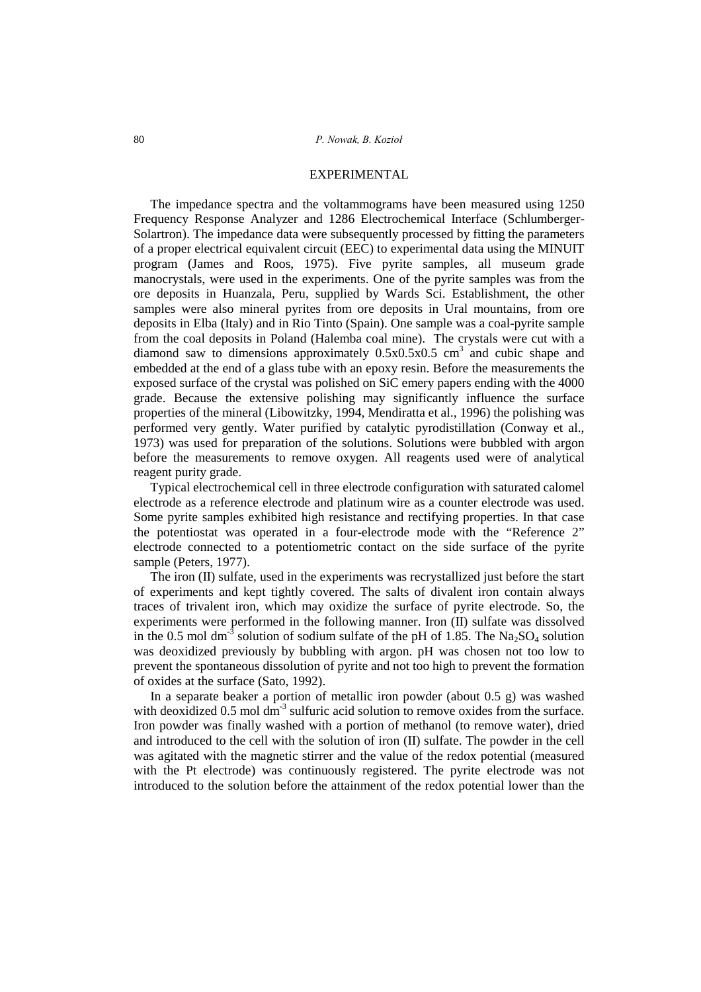#### EXPERIMENTAL

The impedance spectra and the voltammograms have been measured using 1250 Frequency Response Analyzer and 1286 Electrochemical Interface (Schlumberger-Solartron). The impedance data were subsequently processed by fitting the parameters of a proper electrical equivalent circuit (EEC) to experimental data using the MINUIT program (James and Roos, 1975). Five pyrite samples, all museum grade manocrystals, were used in the experiments. One of the pyrite samples was from the ore deposits in Huanzala, Peru, supplied by Wards Sci. Establishment, the other samples were also mineral pyrites from ore deposits in Ural mountains, from ore deposits in Elba (Italy) and in Rio Tinto (Spain). One sample was a coal-pyrite sample from the coal deposits in Poland (Halemba coal mine). The crystals were cut with a diamond saw to dimensions approximately  $0.5x0.5x0.5$  cm<sup>3</sup> and cubic shape and embedded at the end of a glass tube with an epoxy resin. Before the measurements the exposed surface of the crystal was polished on SiC emery papers ending with the 4000 grade. Because the extensive polishing may significantly influence the surface properties of the mineral (Libowitzky, 1994, Mendiratta et al., 1996) the polishing was performed very gently. Water purified by catalytic pyrodistillation (Conway et al., 1973) was used for preparation of the solutions. Solutions were bubbled with argon before the measurements to remove oxygen. All reagents used were of analytical reagent purity grade.

Typical electrochemical cell in three electrode configuration with saturated calomel electrode as a reference electrode and platinum wire as a counter electrode was used. Some pyrite samples exhibited high resistance and rectifying properties. In that case the potentiostat was operated in a four-electrode mode with the "Reference 2" electrode connected to a potentiometric contact on the side surface of the pyrite sample (Peters, 1977).

The iron (II) sulfate, used in the experiments was recrystallized just before the start of experiments and kept tightly covered. The salts of divalent iron contain always traces of trivalent iron, which may oxidize the surface of pyrite electrode. So, the experiments were performed in the following manner. Iron (II) sulfate was dissolved in the 0.5 mol dm<sup>-3</sup> solution of sodium sulfate of the pH of 1.85. The Na<sub>2</sub>SO<sub>4</sub> solution was deoxidized previously by bubbling with argon. pH was chosen not too low to prevent the spontaneous dissolution of pyrite and not too high to prevent the formation of oxides at the surface (Sato, 1992).

In a separate beaker a portion of metallic iron powder (about  $0.5$  g) was washed with deoxidized  $0.5 \text{ mol dm}^3$  sulfuric acid solution to remove oxides from the surface. Iron powder was finally washed with a portion of methanol (to remove water), dried and introduced to the cell with the solution of iron (II) sulfate. The powder in the cell was agitated with the magnetic stirrer and the value of the redox potential (measured with the Pt electrode) was continuously registered. The pyrite electrode was not introduced to the solution before the attainment of the redox potential lower than the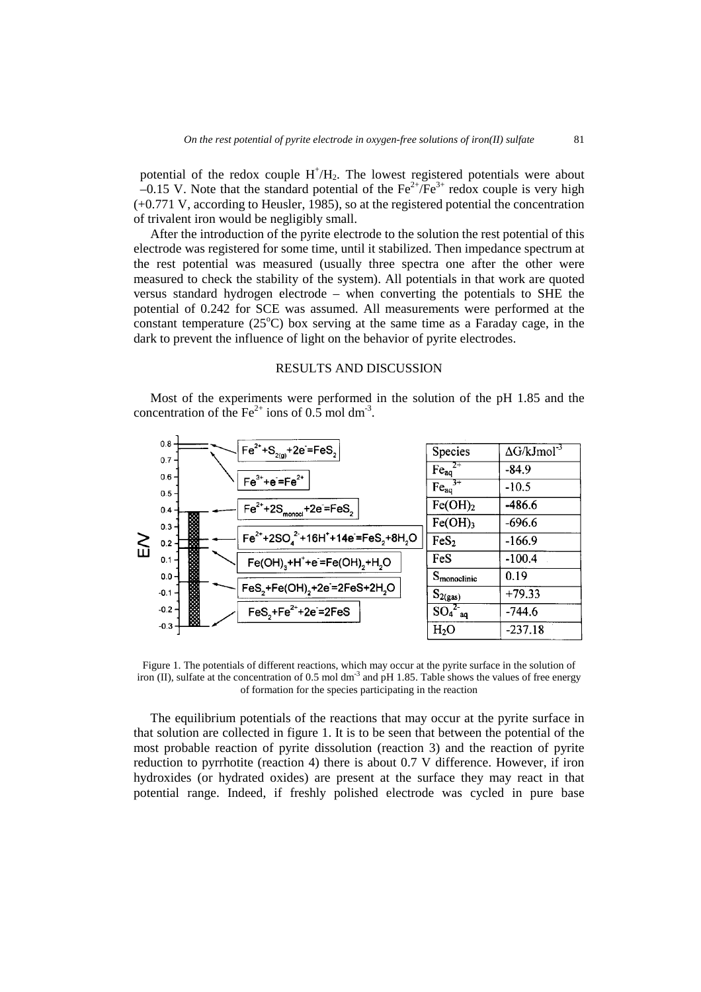potential of the redox couple  $H^{\dagger}/H_2$ . The lowest registered potentials were about  $-0.15$  V. Note that the standard potential of the Fe<sup>2+</sup>/Fe<sup>3+</sup> redox couple is very high (+0.771 V, according to Heusler, 1985), so at the registered potential the concentration of trivalent iron would be negligibly small.

After the introduction of the pyrite electrode to the solution the rest potential of this electrode was registered for some time, until it stabilized. Then impedance spectrum at the rest potential was measured (usually three spectra one after the other were measured to check the stability of the system). All potentials in that work are quoted versus standard hydrogen electrode – when converting the potentials to SHE the potential of 0.242 for SCE was assumed. All measurements were performed at the constant temperature  $(25^{\circ}C)$  box serving at the same time as a Faraday cage, in the dark to prevent the influence of light on the behavior of pyrite electrodes.

### RESULTS AND DISCUSSION

Most of the experiments were performed in the solution of the pH 1.85 and the concentration of the Fe<sup>2+</sup> ions of 0.5 mol dm<sup>-3</sup>.



Figure 1. The potentials of different reactions, which may occur at the pyrite surface in the solution of iron (II), sulfate at the concentration of 0.5 mol  $dm<sup>3</sup>$  and pH 1.85. Table shows the values of free energy of formation for the species participating in the reaction

The equilibrium potentials of the reactions that may occur at the pyrite surface in that solution are collected in figure 1. It is to be seen that between the potential of the most probable reaction of pyrite dissolution (reaction 3) and the reaction of pyrite reduction to pyrrhotite (reaction 4) there is about 0.7 V difference. However, if iron hydroxides (or hydrated oxides) are present at the surface they may react in that potential range. Indeed, if freshly polished electrode was cycled in pure base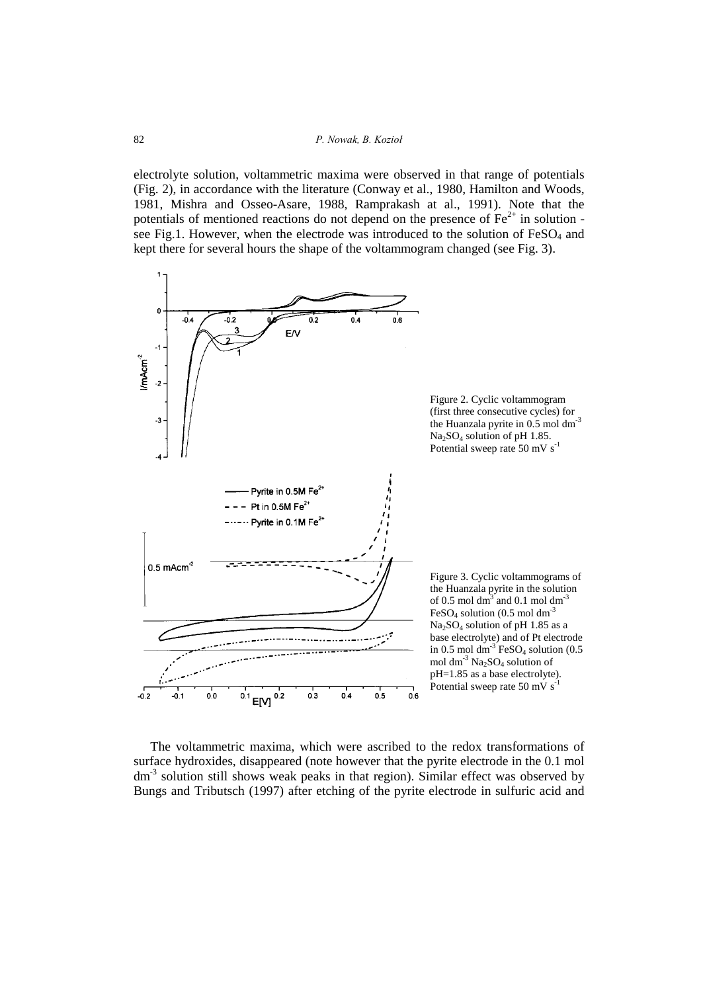electrolyte solution, voltammetric maxima were observed in that range of potentials (Fig. 2), in accordance with the literature (Conway et al., 1980, Hamilton and Woods, 1981, Mishra and Osseo-Asare, 1988, Ramprakash at al., 1991). Note that the potentials of mentioned reactions do not depend on the presence of  $Fe<sup>2+</sup>$  in solution see Fig.1. However, when the electrode was introduced to the solution of FeSO<sub>4</sub> and kept there for several hours the shape of the voltammogram changed (see Fig. 3).



The voltammetric maxima, which were ascribed to the redox transformations of surface hydroxides, disappeared (note however that the pyrite electrode in the 0.1 mol dm<sup>-3</sup> solution still shows weak peaks in that region). Similar effect was observed by Bungs and Tributsch (1997) after etching of the pyrite electrode in sulfuric acid and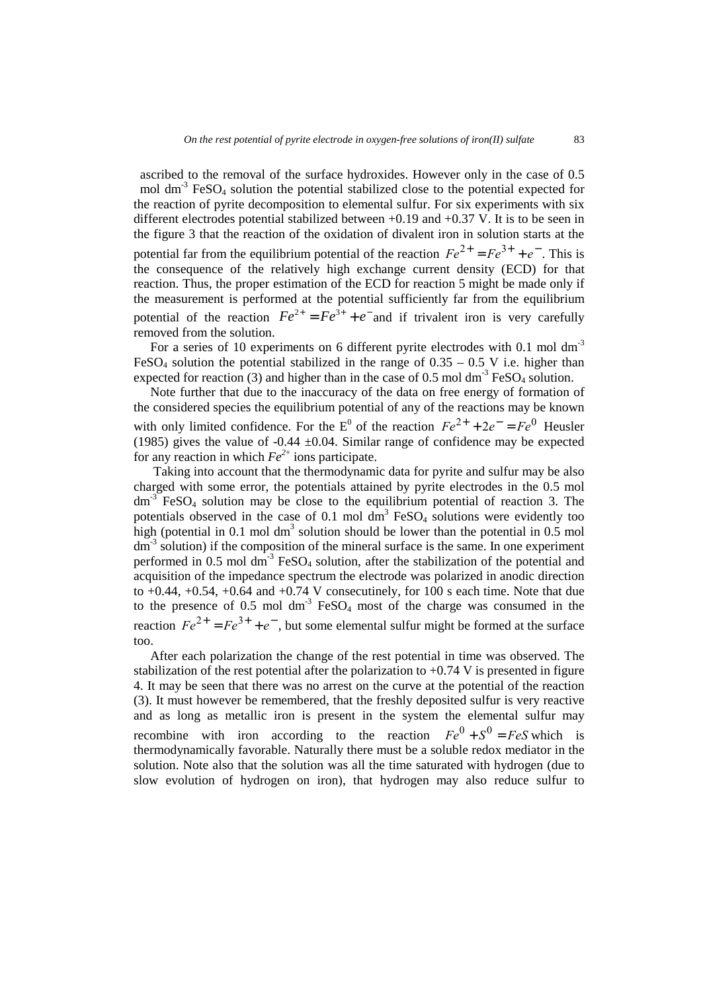ascribed to the removal of the surface hydroxides. However only in the case of 0.5 mol  $dm<sup>3</sup>$  FeSO<sub>4</sub> solution the potential stabilized close to the potential expected for the reaction of pyrite decomposition to elemental sulfur. For six experiments with six different electrodes potential stabilized between  $+0.19$  and  $+0.37$  V. It is to be seen in the figure 3 that the reaction of the oxidation of divalent iron in solution starts at the potential far from the equilibrium potential of the reaction  $Fe^{2+} = Fe^{3+} + e^{-}$ . This is the consequence of the relatively high exchange current density (ECD) for that reaction. Thus, the proper estimation of the ECD for reaction 5 might be made only if the measurement is performed at the potential sufficiently far from the equilibrium potential of the reaction  $Fe^{2+} = Fe^{3+} + e^-$  and if trivalent iron is very carefully removed from the solution.

For a series of 10 experiments on 6 different pyrite electrodes with 0.1 mol dm<sup>-3</sup> FeSO<sub>4</sub> solution the potential stabilized in the range of  $0.35 - 0.5$  V i.e. higher than expected for reaction (3) and higher than in the case of 0.5 mol dm<sup>-3</sup> FeSO<sub>4</sub> solution.

Note further that due to the inaccuracy of the data on free energy of formation of the considered species the equilibrium potential of any of the reactions may be known with only limited confidence. For the  $E^0$  of the reaction  $Fe^{2+} + 2e^- = Fe^0$  Heusler (1985) gives the value of -0.44  $\pm$ 0.04. Similar range of confidence may be expected for any reaction in which  $Fe^{2+}$  ions participate.

 Taking into account that the thermodynamic data for pyrite and sulfur may be also charged with some error, the potentials attained by pyrite electrodes in the 0.5 mol  $dm<sup>3</sup>$  FeSO<sub>4</sub> solution may be close to the equilibrium potential of reaction 3. The potentials observed in the case of 0.1 mol  $dm^3$  FeSO<sub>4</sub> solutions were evidently too high (potential in 0.1 mol dm<sup>3</sup> solution should be lower than the potential in  $0.5$  mol  $dm<sup>-3</sup>$  solution) if the composition of the mineral surface is the same. In one experiment performed in  $0.5$  mol dm<sup>-3</sup> FeSO<sub>4</sub> solution, after the stabilization of the potential and acquisition of the impedance spectrum the electrode was polarized in anodic direction to  $+0.44$ ,  $+0.54$ ,  $+0.64$  and  $+0.74$  V consecutinely, for  $100$  s each time. Note that due to the presence of 0.5 mol  $dm<sup>-3</sup>$  FeSO<sub>4</sub> most of the charge was consumed in the reaction  $Fe^{2+} = Fe^{3+} + e^{-}$ , but some elemental sulfur might be formed at the surface too.

After each polarization the change of the rest potential in time was observed. The stabilization of the rest potential after the polarization to  $+0.74$  V is presented in figure 4. It may be seen that there was no arrest on the curve at the potential of the reaction (3). It must however be remembered, that the freshly deposited sulfur is very reactive and as long as metallic iron is present in the system the elemental sulfur may recombine with iron according to the reaction  $Fe^0 + S^0 = FeS$  which is thermodynamically favorable. Naturally there must be a soluble redox mediator in the solution. Note also that the solution was all the time saturated with hydrogen (due to slow evolution of hydrogen on iron), that hydrogen may also reduce sulfur to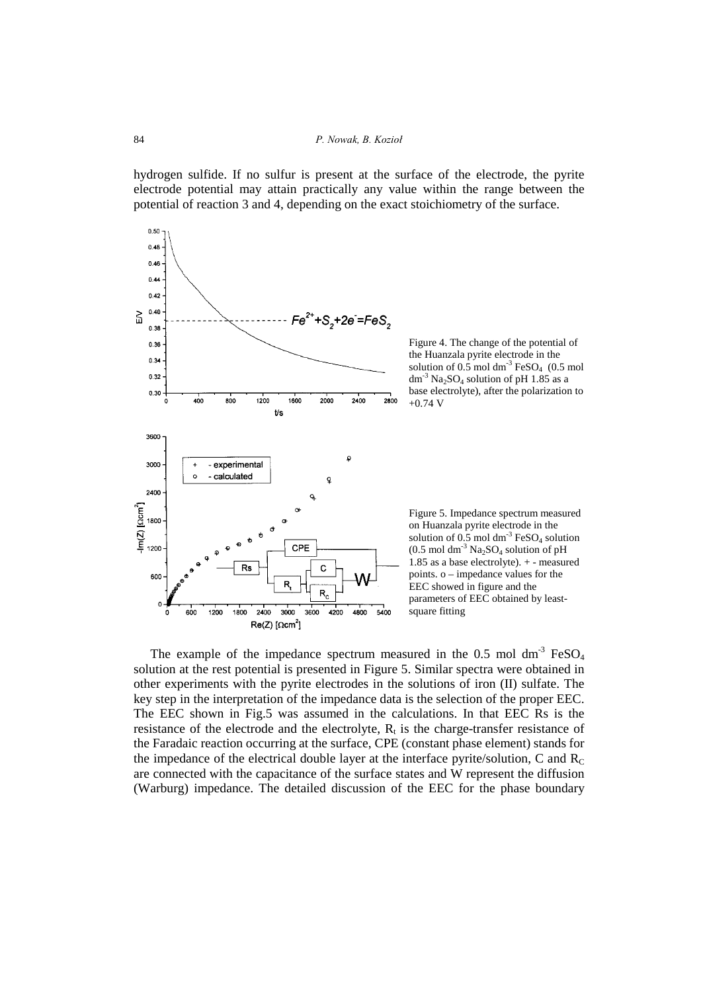hydrogen sulfide. If no sulfur is present at the surface of the electrode, the pyrite electrode potential may attain practically any value within the range between the potential of reaction 3 and 4, depending on the exact stoichiometry of the surface.



The example of the impedance spectrum measured in the  $0.5$  mol dm<sup>-3</sup> FeSO<sub>4</sub> solution at the rest potential is presented in Figure 5. Similar spectra were obtained in other experiments with the pyrite electrodes in the solutions of iron (II) sulfate. The key step in the interpretation of the impedance data is the selection of the proper EEC. The EEC shown in Fig.5 was assumed in the calculations. In that EEC Rs is the resistance of the electrode and the electrolyte,  $R<sub>t</sub>$  is the charge-transfer resistance of the Faradaic reaction occurring at the surface, CPE (constant phase element) stands for the impedance of the electrical double layer at the interface pyrite/solution, C and  $R_C$ are connected with the capacitance of the surface states and W represent the diffusion (Warburg) impedance. The detailed discussion of the EEC for the phase boundary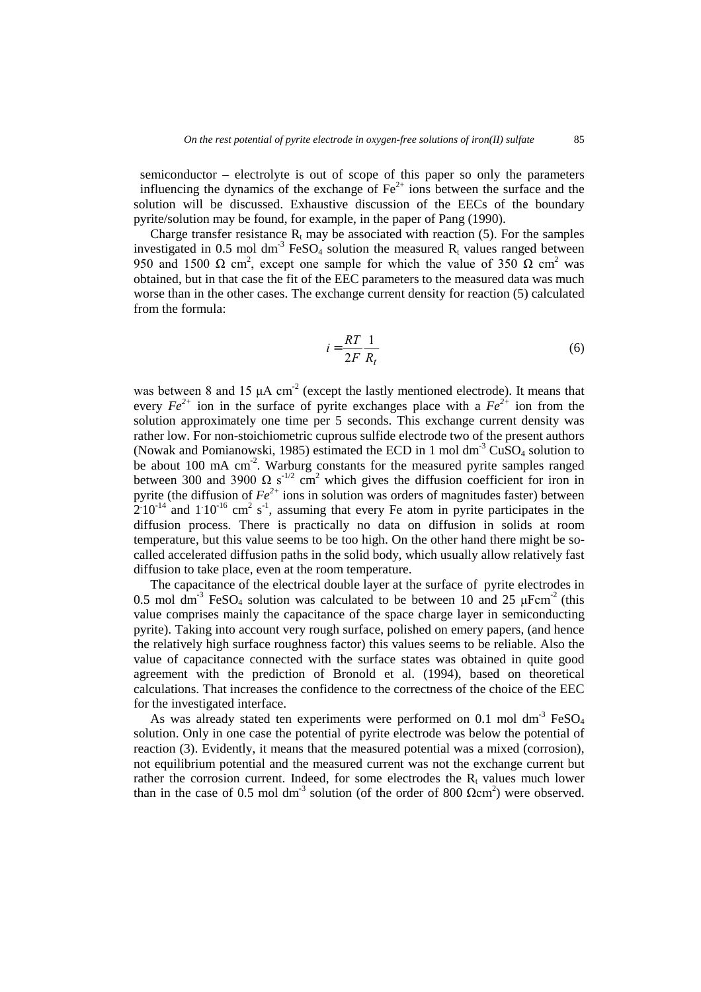semiconductor – electrolyte is out of scope of this paper so only the parameters influencing the dynamics of the exchange of  $Fe<sup>2+</sup>$  ions between the surface and the solution will be discussed. Exhaustive discussion of the EECs of the boundary pyrite/solution may be found, for example, in the paper of Pang (1990).

Charge transfer resistance  $R_t$  may be associated with reaction (5). For the samples investigated in 0.5 mol dm<sup>-3</sup> FeSO<sub>4</sub> solution the measured  $R_t$  values ranged between 950 and 1500 Ω cm<sup>2</sup>, except one sample for which the value of 350 Ω cm<sup>2</sup> was obtained, but in that case the fit of the EEC parameters to the measured data was much worse than in the other cases. The exchange current density for reaction (5) calculated from the formula:

$$
i = \frac{RT}{2F} \frac{1}{R_t} \tag{6}
$$

was between 8 and 15  $\mu$ A cm<sup>-2</sup> (except the lastly mentioned electrode). It means that every  $Fe^{2+}$  ion in the surface of pyrite exchanges place with a  $Fe^{2+}$  ion from the solution approximately one time per 5 seconds. This exchange current density was rather low. For non-stoichiometric cuprous sulfide electrode two of the present authors (Nowak and Pomianowski, 1985) estimated the ECD in 1 mol  $dm<sup>-3</sup> CuSO<sub>4</sub>$  solution to be about 100 mA cm<sup>-2</sup>. Warburg constants for the measured pyrite samples ranged between 300 and 3900  $\Omega$  s<sup>-1/2</sup> cm<sup>2</sup> which gives the diffusion coefficient for iron in pyrite (the diffusion of  $Fe^{2+}$  ions in solution was orders of magnitudes faster) between  $2.10^{-14}$  and  $1.10^{-16}$  cm<sup>2</sup> s<sup>-1</sup>, assuming that every Fe atom in pyrite participates in the diffusion process. There is practically no data on diffusion in solids at room temperature, but this value seems to be too high. On the other hand there might be socalled accelerated diffusion paths in the solid body, which usually allow relatively fast diffusion to take place, even at the room temperature.

The capacitance of the electrical double layer at the surface of pyrite electrodes in 0.5 mol dm<sup>-3</sup> FeSO<sub>4</sub> solution was calculated to be between 10 and 25  $\mu$ Fcm<sup>-2</sup> (this value comprises mainly the capacitance of the space charge layer in semiconducting pyrite). Taking into account very rough surface, polished on emery papers, (and hence the relatively high surface roughness factor) this values seems to be reliable. Also the value of capacitance connected with the surface states was obtained in quite good agreement with the prediction of Bronold et al. (1994), based on theoretical calculations. That increases the confidence to the correctness of the choice of the EEC for the investigated interface.

As was already stated ten experiments were performed on 0.1 mol dm<sup>-3</sup>  $FeSO<sub>4</sub>$ solution. Only in one case the potential of pyrite electrode was below the potential of reaction (3). Evidently, it means that the measured potential was a mixed (corrosion), not equilibrium potential and the measured current was not the exchange current but rather the corrosion current. Indeed, for some electrodes the  $R_t$  values much lower than in the case of 0.5 mol dm<sup>-3</sup> solution (of the order of 800  $\Omega$ cm<sup>2</sup>) were observed.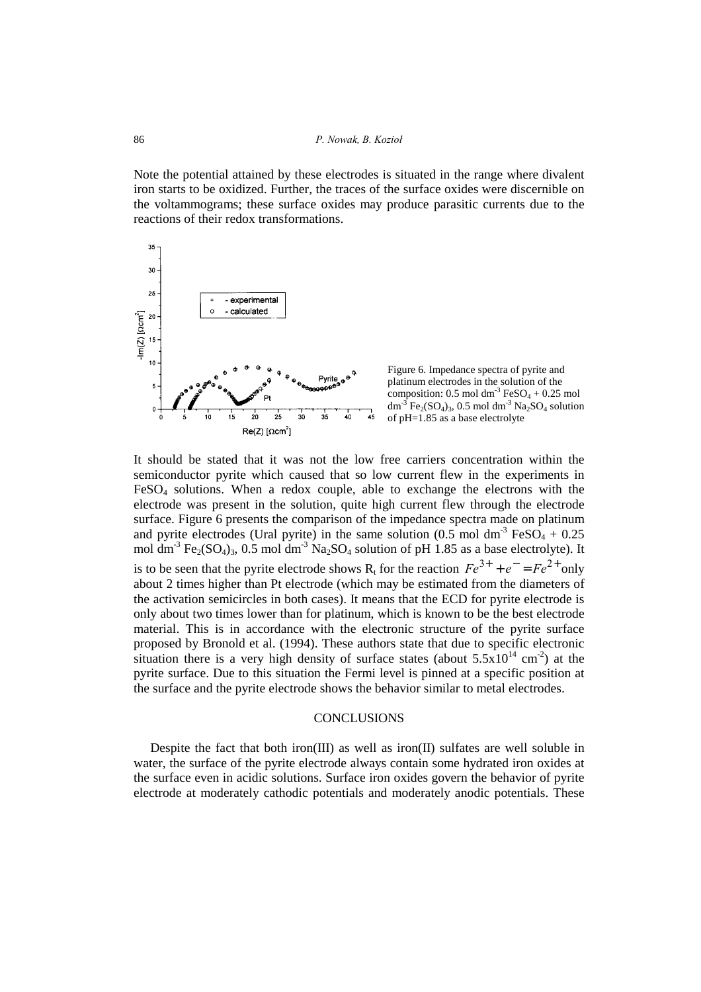Note the potential attained by these electrodes is situated in the range where divalent iron starts to be oxidized. Further, the traces of the surface oxides were discernible on the voltammograms; these surface oxides may produce parasitic currents due to the reactions of their redox transformations.



It should be stated that it was not the low free carriers concentration within the semiconductor pyrite which caused that so low current flew in the experiments in FeSO4 solutions. When a redox couple, able to exchange the electrons with the electrode was present in the solution, quite high current flew through the electrode surface. Figure 6 presents the comparison of the impedance spectra made on platinum and pyrite electrodes (Ural pyrite) in the same solution  $(0.5 \text{ mol dm}^3 \text{ FeSO}_4 + 0.25 \text{ m}^3 \text{ [Fe}^3 \text{]})$ mol dm<sup>-3</sup> Fe<sub>2</sub>(SO<sub>4</sub>)<sub>3</sub>, 0.5 mol dm<sup>-3</sup> Na<sub>2</sub>SO<sub>4</sub> solution of pH 1.85 as a base electrolyte). It is to be seen that the pyrite electrode shows R<sub>t</sub> for the reaction  $Fe^{3+} + e^{-} = Fe^{2+}$  only about 2 times higher than Pt electrode (which may be estimated from the diameters of the activation semicircles in both cases). It means that the ECD for pyrite electrode is only about two times lower than for platinum, which is known to be the best electrode material. This is in accordance with the electronic structure of the pyrite surface proposed by Bronold et al. (1994). These authors state that due to specific electronic situation there is a very high density of surface states (about  $5.5x10^{14}$  cm<sup>-2</sup>) at the pyrite surface. Due to this situation the Fermi level is pinned at a specific position at the surface and the pyrite electrode shows the behavior similar to metal electrodes.

### **CONCLUSIONS**

Despite the fact that both iron(III) as well as iron(II) sulfates are well soluble in water, the surface of the pyrite electrode always contain some hydrated iron oxides at the surface even in acidic solutions. Surface iron oxides govern the behavior of pyrite electrode at moderately cathodic potentials and moderately anodic potentials. These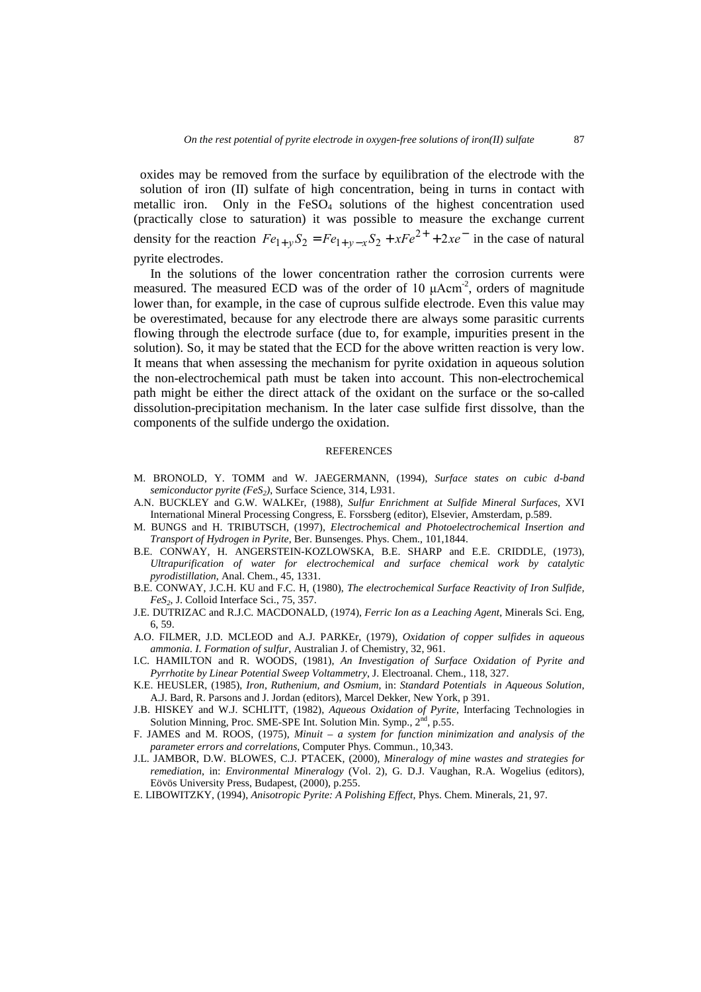oxides may be removed from the surface by equilibration of the electrode with the solution of iron (II) sulfate of high concentration, being in turns in contact with metallic iron. Only in the  $FeSO<sub>4</sub>$  solutions of the highest concentration used (practically close to saturation) it was possible to measure the exchange current density for the reaction  $Fe_{1+y}S_2 = Fe_{1+y-x}S_2 + xFe^{2+} + 2xe^{-}$  in the case of natural pyrite electrodes.

In the solutions of the lower concentration rather the corrosion currents were measured. The measured ECD was of the order of 10  $\mu$ Acm<sup>-2</sup>, orders of magnitude lower than, for example, in the case of cuprous sulfide electrode. Even this value may be overestimated, because for any electrode there are always some parasitic currents flowing through the electrode surface (due to, for example, impurities present in the solution). So, it may be stated that the ECD for the above written reaction is very low. It means that when assessing the mechanism for pyrite oxidation in aqueous solution the non-electrochemical path must be taken into account. This non-electrochemical path might be either the direct attack of the oxidant on the surface or the so-called dissolution-precipitation mechanism. In the later case sulfide first dissolve, than the components of the sulfide undergo the oxidation.

#### **REFERENCES**

- M. BRONOLD, Y. TOMM and W. JAEGERMANN, (1994), *Surface states on cubic d-band semiconductor pyrite (FeS<sub>2</sub>)*, Surface Science, 314, L931.
- A.N. BUCKLEY and G.W. WALKEr, (1988), *Sulfur Enrichment at Sulfide Mineral Surfaces*, XVI International Mineral Processing Congress, E. Forssberg (editor), Elsevier, Amsterdam, p.589.
- M. BUNGS and H. TRIBUTSCH, (1997), *Electrochemical and Photoelectrochemical Insertion and Transport of Hydrogen in Pyrite*, Ber. Bunsenges. Phys. Chem., 101,1844.
- B.E. CONWAY, H. ANGERSTEIN-KOZLOWSKA, B.E. SHARP and E.E. CRIDDLE, (1973), *Ultrapurification of water for electrochemical and surface chemical work by catalytic pyrodistillation*, Anal. Chem., 45, 1331.
- B.E. CONWAY, J.C.H. KU and F.C. H, (1980), *The electrochemical Surface Reactivity of Iron Sulfide, FeS2*, J. Colloid Interface Sci., 75, 357.
- J.E. DUTRIZAC and R.J.C. MACDONALD, (1974), *Ferric Ion as a Leaching Agent*, Minerals Sci. Eng, 6, 59.
- A.O. FILMER, J.D. MCLEOD and A.J. PARKEr, (1979), *Oxidation of copper sulfides in aqueous ammonia. I. Formation of sulfur*, Australian J. of Chemistry, 32, 961.
- I.C. HAMILTON and R. WOODS, (1981), *An Investigation of Surface Oxidation of Pyrite and Pyrrhotite by Linear Potential Sweep Voltammetry*, J. Electroanal. Chem., 118, 327.
- K.E. HEUSLER, (1985), *Iron, Ruthenium, and Osmium*, in: *Standard Potentials in Aqueous Solution*, A.J. Bard, R. Parsons and J. Jordan (editors), Marcel Dekker, New York, p 391.
- J.B. HISKEY and W.J. SCHLITT, (1982), *Aqueous Oxidation of Pyrite*, Interfacing Technologies in Solution Minning, Proc. SME-SPE Int. Solution Min. Symp., 2<sup>nd</sup>, p.55.
- F. JAMES and M. ROOS, (1975), *Minuit a system for function minimization and analysis of the parameter errors and correlations*, Computer Phys. Commun., 10,343.
- J.L. JAMBOR, D.W. BLOWES, C.J. PTACEK, (2000), *Mineralogy of mine wastes and strategies for remediation*, in: *Environmental Mineralogy* (Vol. 2), G. D.J. Vaughan, R.A. Wogelius (editors), Eövös University Press, Budapest, (2000), p.255.
- E. LIBOWITZKY, (1994), *Anisotropic Pyrite: A Polishing Effect*, Phys. Chem. Minerals, 21, 97.